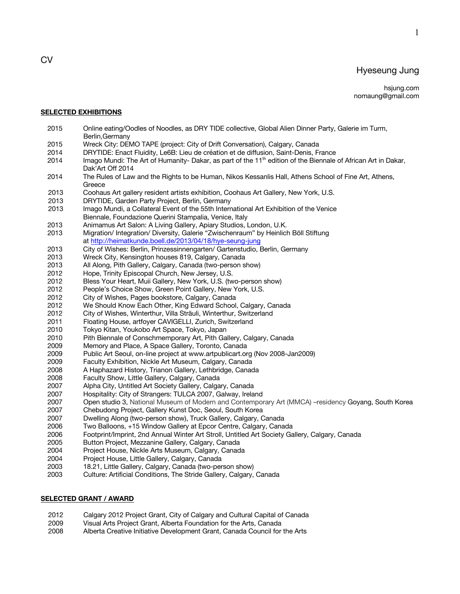# Hyeseung Jung

1

#### **SELECTED EXHIBITIONS**

- 2015 Online eating/Oodles of Noodles, as DRY TIDE collective, Global Alien Dinner Party, Galerie im Turm, Berlin,Germany
- 2015 Wreck City: DEMO TAPE (project: City of Drift Conversation), Calgary, Canada
- 2014 DRYTIDE: Enact Fluidity, Le6B: Lieu de création et de diffusion, Saint-Denis, France
- 2014 Imago Mundi: The Art of Humanity- Dakar, as part of the 11<sup>th</sup> edition of the Biennale of African Art in Dakar, Dak'Art Off 2014
- 2014 The Rules of Law and the Rights to be Human, Nikos Kessanlis Hall, Athens School of Fine Art, Athens, **Greece**
- 2013 Coohaus Art gallery resident artists exhibition, Coohaus Art Gallery, New York, U.S.
- 2013 DRYTIDE, Garden Party Project, Berlin, Germany
- 2013 Imago Mundi, a Collateral Event of the 55th International Art Exhibition of the Venice Biennale, Foundazione Querini Stampalia, Venice, Italy<br>2013 - Animamus Art Salon: A Living Gallery, Apjary Studios, I
- Animamus Art Salon: A Living Gallery, Apiary Studios, London, U.K.
- 2013 Migration/ Integration/ Diversity, Galerie "Zwischenraum" by Heinlich Böll Stiftung at http://heimatkunde.boell.de/2013/04/18/hye-seung-jung
- 2013 City of Wishes: Berlin, Prinzessinnengarten/ Gartenstudio, Berlin, Germany
- 2013 Wreck City, Kensington houses 819, Calgary, Canada
- 2013 All Along, Pith Gallery, Calgary, Canada (two-person show)
- 2012 Hope, Trinity Episcopal Church, New Jersey, U.S.
- 2012 Bless Your Heart, Muii Gallery, New York, U.S. (two-person show)
- 2012 People's Choice Show, Green Point Gallery, New York, U.S.
- 2012 City of Wishes, Pages bookstore, Calgary, Canada
- 2012 We Should Know Each Other, King Edward School, Calgary, Canada
- 2012 City of Wishes, Winterthur, Villa Sträuli, Winterthur, Switzerland
- 2011 Floating House, artfoyer CAVIGELLI, Zurich, Switzerland<br>2010 Tokyo Kitan Youkobo Art Space Tokyo Japan
- Tokyo Kitan, Youkobo Art Space, Tokyo, Japan
- 2010 Pith Biennale of Conschmemporary Art, Pith Gallery, Calgary, Canada<br>2009 Memory and Place, A Space Gallery, Toronto, Canada
- Memory and Place, A Space Gallery, Toronto, Canada
- 2009 Public Art Seoul, on-line project at www.artpublicart.org (Nov 2008-Jan2009)
- 2009 Faculty Exhibition, Nickle Art Museum, Calgary, Canada
- 2008 A Haphazard History, Trianon Gallery, Lethbridge, Canada
- 2008 Faculty Show, Little Gallery, Calgary, Canada
- 2007 Alpha City, Untitled Art Society Gallery, Calgary, Canada
- 2007 Hospitality: City of Strangers: TULCA 2007, Galway, Ireland
- 2007 Open studio 3, National Museum of Modern and Contemporary Art (MMCA) –residency Goyang, South Korea
- 2007 Chebudong Project, Gallery Kunst Doc, Seoul, South Korea
- 2007 Dwelling Along (two-person show), Truck Gallery, Calgary, Canada
- 2006 Two Balloons, +15 Window Gallery at Epcor Centre, Calgary, Canada
- 2006 Footprint/Imprint, 2nd Annual Winter Art Stroll, Untitled Art Society Gallery, Calgary, Canada
- 2005 Button Project, Mezzanine Gallery, Calgary, Canada
- 2004 Project House, Nickle Arts Museum, Calgary, Canada
- 2004 Project House, Little Gallery, Calgary, Canada
- 2003 18.21, Little Gallery, Calgary, Canada (two-person show)
- 2003 Culture: Artificial Conditions, The Stride Gallery, Calgary, Canada

### **SELECTED GRANT / AWARD**

- 2012 Calgary 2012 Project Grant, City of Calgary and Cultural Capital of Canada
- 2009 Visual Arts Project Grant, Alberta Foundation for the Arts, Canada
- 2008 Alberta Creative Initiative Development Grant, Canada Council for the Arts